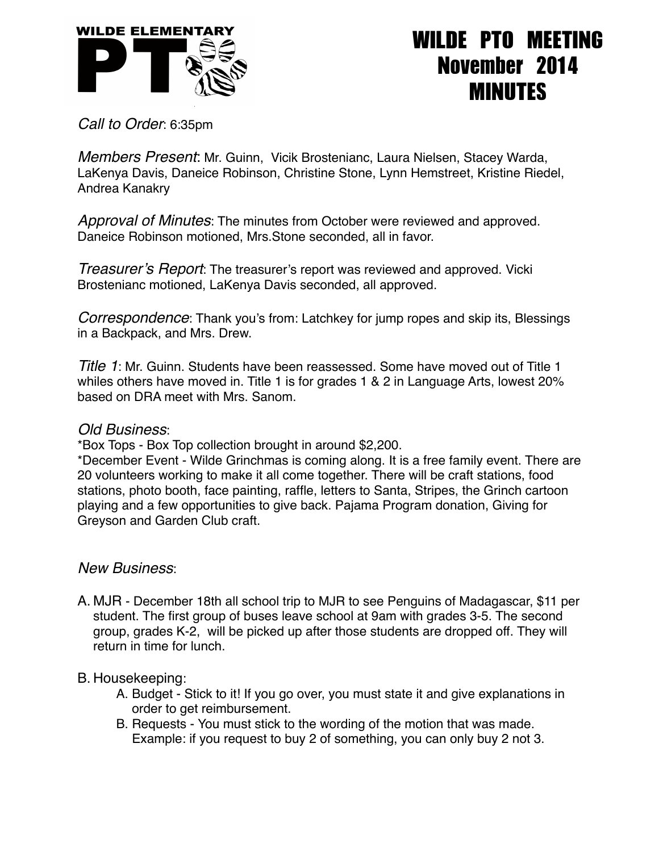

## WILDE PTO MEETING November 2014 MINUTES

*Call to Order*: 6:35pm

*Members Present*: Mr. Guinn, Vicik Brostenianc, Laura Nielsen, Stacey Warda, LaKenya Davis, Daneice Robinson, Christine Stone, Lynn Hemstreet, Kristine Riedel, Andrea Kanakry

*Approval of Minutes*: The minutes from October were reviewed and approved. Daneice Robinson motioned, Mrs.Stone seconded, all in favor.

*Treasurer's Report*: The treasurer's report was reviewed and approved. Vicki Brostenianc motioned, LaKenya Davis seconded, all approved.

*Correspondence*: Thank you's from: Latchkey for jump ropes and skip its, Blessings in a Backpack, and Mrs. Drew.

*Title 1*: Mr. Guinn. Students have been reassessed. Some have moved out of Title 1 whiles others have moved in. Title 1 is for grades 1 & 2 in Language Arts, lowest 20% based on DRA meet with Mrs. Sanom.

## *Old Business*:

\*Box Tops - Box Top collection brought in around \$2,200.

\*December Event - Wilde Grinchmas is coming along. It is a free family event. There are 20 volunteers working to make it all come together. There will be craft stations, food stations, photo booth, face painting, raffle, letters to Santa, Stripes, the Grinch cartoon playing and a few opportunities to give back. Pajama Program donation, Giving for Greyson and Garden Club craft.

## *New Business*:

A. MJR - December 18th all school trip to MJR to see Penguins of Madagascar, \$11 per student. The first group of buses leave school at 9am with grades 3-5. The second group, grades K-2, will be picked up after those students are dropped off. They will return in time for lunch.

## B. Housekeeping:

- A. Budget Stick to it! If you go over, you must state it and give explanations in order to get reimbursement.
- B. Requests You must stick to the wording of the motion that was made. Example: if you request to buy 2 of something, you can only buy 2 not 3.